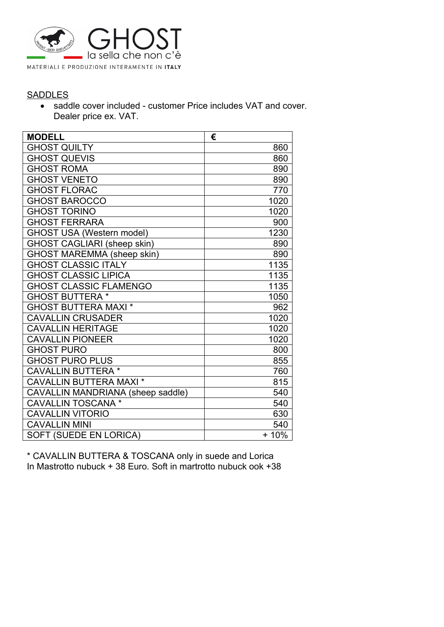

### **SADDLES**

 saddle cover included - customer Price includes VAT and cover. Dealer price ex. VAT.

| <b>MODELL</b>                      | €      |
|------------------------------------|--------|
| <b>GHOST QUILTY</b>                | 860    |
| <b>GHOST QUEVIS</b>                | 860    |
| <b>GHOST ROMA</b>                  | 890    |
| <b>GHOST VENETO</b>                | 890    |
| <b>GHOST FLORAC</b>                | 770    |
| <b>GHOST BAROCCO</b>               | 1020   |
| <b>GHOST TORINO</b>                | 1020   |
| <b>GHOST FERRARA</b>               | 900    |
| <b>GHOST USA (Western model)</b>   | 1230   |
| <b>GHOST CAGLIARI (sheep skin)</b> | 890    |
| <b>GHOST MAREMMA (sheep skin)</b>  | 890    |
| <b>GHOST CLASSIC ITALY</b>         | 1135   |
| <b>GHOST CLASSIC LIPICA</b>        | 1135   |
| <b>GHOST CLASSIC FLAMENGO</b>      | 1135   |
| <b>GHOST BUTTERA*</b>              | 1050   |
| <b>GHOST BUTTERA MAXI *</b>        | 962    |
| <b>CAVALLIN CRUSADER</b>           | 1020   |
| <b>CAVALLIN HERITAGE</b>           | 1020   |
| <b>CAVALLIN PIONEER</b>            | 1020   |
| <b>GHOST PURO</b>                  | 800    |
| <b>GHOST PURO PLUS</b>             | 855    |
| <b>CAVALLIN BUTTERA*</b>           | 760    |
| <b>CAVALLIN BUTTERA MAXI *</b>     | 815    |
| CAVALLIN MANDRIANA (sheep saddle)  | 540    |
| <b>CAVALLIN TOSCANA*</b>           | 540    |
| <b>CAVALLIN VITORIO</b>            | 630    |
| <b>CAVALLIN MINI</b>               | 540    |
| SOFT (SUEDE EN LORICA)             | $+10%$ |

\* CAVALLIN BUTTERA & TOSCANA only in suede and Lorica In Mastrotto nubuck + 38 Euro. Soft in martrotto nubuck ook +38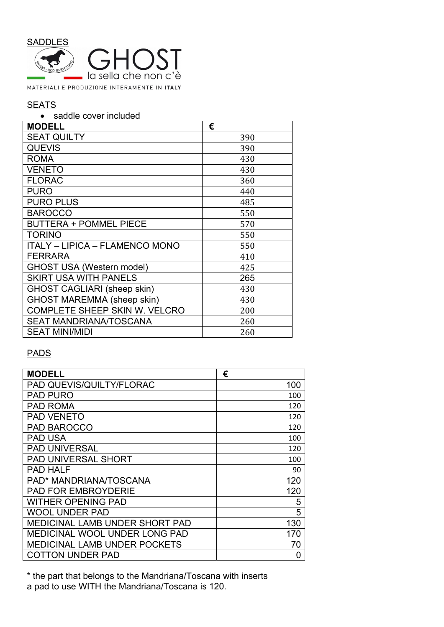

# **SEATS**

#### • saddle cover included

| <b>MODELL</b>                         | €   |
|---------------------------------------|-----|
| <b>SEAT QUILTY</b>                    | 390 |
| <b>QUEVIS</b>                         | 390 |
| <b>ROMA</b>                           | 430 |
| <b>VENETO</b>                         | 430 |
| <b>FLORAC</b>                         | 360 |
| <b>PURO</b>                           | 440 |
| <b>PURO PLUS</b>                      | 485 |
| <b>BAROCCO</b>                        | 550 |
| <b>BUTTERA + POMMEL PIECE</b>         | 570 |
| <b>TORINO</b>                         | 550 |
| <b>ITALY - LIPICA - FLAMENCO MONO</b> | 550 |
| <b>FERRARA</b>                        | 410 |
| <b>GHOST USA (Western model)</b>      | 425 |
| <b>SKIRT USA WITH PANELS</b>          | 265 |
| <b>GHOST CAGLIARI (sheep skin)</b>    | 430 |
| <b>GHOST MAREMMA (sheep skin)</b>     | 430 |
| <b>COMPLETE SHEEP SKIN W. VELCRO</b>  | 200 |
| <b>SEAT MANDRIANA/TOSCANA</b>         | 260 |
| <b>SEAT MINI/MIDI</b>                 | 260 |

## PADS

| <b>MODELL</b>                         | €   |
|---------------------------------------|-----|
| PAD QUEVIS/QUILTY/FLORAC              | 100 |
| <b>PAD PURO</b>                       | 100 |
| <b>PAD ROMA</b>                       | 120 |
| <b>PAD VENETO</b>                     | 120 |
| <b>PAD BAROCCO</b>                    | 120 |
| <b>PAD USA</b>                        | 100 |
| <b>PAD UNIVERSAL</b>                  | 120 |
| <b>PAD UNIVERSAL SHORT</b>            | 100 |
| <b>PAD HALF</b>                       | 90  |
| PAD* MANDRIANA/TOSCANA                | 120 |
| <b>PAD FOR EMBROYDERIE</b>            | 120 |
| WITHER OPENING PAD                    | 5   |
| WOOL UNDER PAD                        | 5   |
| <b>MEDICINAL LAMB UNDER SHORT PAD</b> | 130 |
| <b>MEDICINAL WOOL UNDER LONG PAD</b>  | 170 |
| <b>MEDICINAL LAMB UNDER POCKETS</b>   | 70  |
| COTTON UNDER PAD                      | 0   |

\* the part that belongs to the Mandriana/Toscana with inserts a pad to use WITH the Mandriana/Toscana is 120.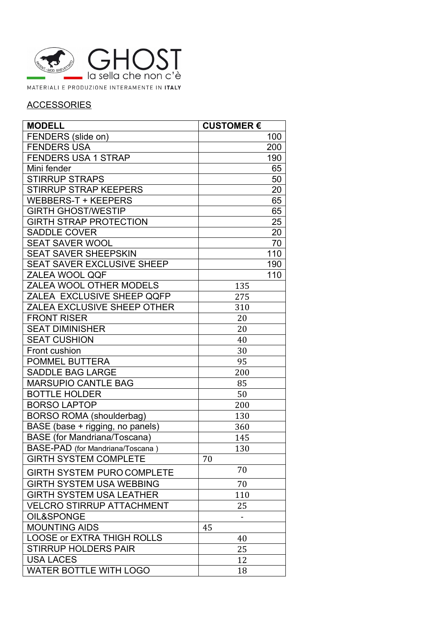

# **ACCESSORIES**

| <b>MODELL</b>                       | <b>CUSTOMER €</b> |
|-------------------------------------|-------------------|
| FENDERS (slide on)                  | 100               |
| <b>FENDERS USA</b>                  | 200               |
| <b>FENDERS USA 1 STRAP</b>          | 190               |
| Mini fender                         | 65                |
| <b>STIRRUP STRAPS</b>               | 50                |
| <b>STIRRUP STRAP KEEPERS</b>        | 20                |
| <b>WEBBERS-T + KEEPERS</b>          | 65                |
| <b>GIRTH GHOST/WESTIP</b>           | 65                |
| <b>GIRTH STRAP PROTECTION</b>       | 25                |
| <b>SADDLE COVER</b>                 | 20                |
| <b>SEAT SAVER WOOL</b>              | 70                |
| <b>SEAT SAVER SHEEPSKIN</b>         | 110               |
| <b>SEAT SAVER EXCLUSIVE SHEEP</b>   | 190               |
| ZALEA WOOL QQF                      | 110               |
| ZALEA WOOL OTHER MODELS             | 135               |
| ZALEA EXCLUSIVE SHEEP QQFP          | 275               |
| ZALEA EXCLUSIVE SHEEP OTHER         | 310               |
| <b>FRONT RISER</b>                  | 20                |
| <b>SEAT DIMINISHER</b>              | 20                |
| <b>SEAT CUSHION</b>                 | 40                |
| Front cushion                       | 30                |
| <b>POMMEL BUTTERA</b>               | 95                |
| <b>SADDLE BAG LARGE</b>             | 200               |
| <b>MARSUPIO CANTLE BAG</b>          | 85                |
| <b>BOTTLE HOLDER</b>                | 50                |
| <b>BORSO LAPTOP</b>                 | 200               |
| <b>BORSO ROMA (shoulderbag)</b>     | 130               |
| BASE (base + rigging, no panels)    | 360               |
| <b>BASE</b> (for Mandriana/Toscana) | 145               |
| BASE-PAD (for Mandriana/Toscana)    | 130               |
| <b>GIRTH SYSTEM COMPLETE</b>        | 70                |
| <b>GIRTH SYSTEM PURO COMPLETE</b>   | 70                |
| <b>GIRTH SYSTEM USA WEBBING</b>     | 70                |
| <b>GIRTH SYSTEM USA LEATHER</b>     | 110               |
| <b>VELCRO STIRRUP ATTACHMENT</b>    | 25                |
| OIL&SPONGE                          |                   |
| <b>MOUNTING AIDS</b>                | 45                |
| <b>LOOSE or EXTRA THIGH ROLLS</b>   | 40                |
| <b>STIRRUP HOLDERS PAIR</b>         | 25                |
| <b>USA LACES</b>                    | 12                |
| <b>WATER BOTTLE WITH LOGO</b>       | 18                |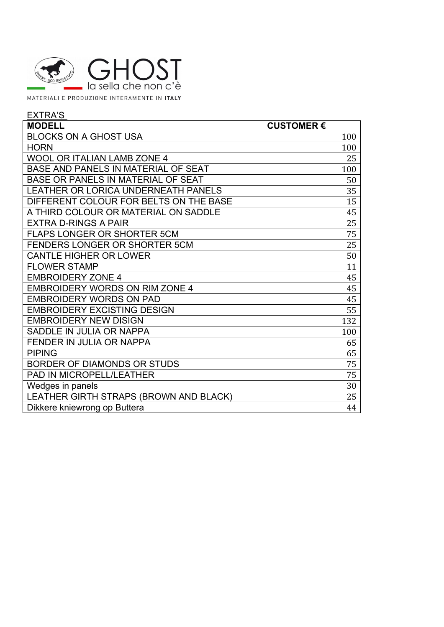

MATERIALI E PRODUZIONE INTERAMENTE IN ITALY

| <b>EXTRA'S</b>                         |                  |
|----------------------------------------|------------------|
| <b>MODELL</b>                          | <b>CUSTOMER€</b> |
| <b>BLOCKS ON A GHOST USA</b>           | 100              |
| <b>HORN</b>                            | 100              |
| <b>WOOL OR ITALIAN LAMB ZONE 4</b>     | 25               |
| BASE AND PANELS IN MATERIAL OF SEAT    | 100              |
| BASE OR PANELS IN MATERIAL OF SEAT     | 50               |
| LEATHER OR LORICA UNDERNEATH PANELS    | 35               |
| DIFFERENT COLOUR FOR BELTS ON THE BASE | 15               |
| A THIRD COLOUR OR MATERIAL ON SADDLE   | 45               |
| <b>EXTRA D-RINGS A PAIR</b>            | 25               |
| <b>FLAPS LONGER OR SHORTER 5CM</b>     | 75               |
| <b>FENDERS LONGER OR SHORTER 5CM</b>   | 25               |
| <b>CANTLE HIGHER OR LOWER</b>          | 50               |
| <b>FLOWER STAMP</b>                    | 11               |
| <b>EMBROIDERY ZONE 4</b>               | 45               |
| <b>EMBROIDERY WORDS ON RIM ZONE 4</b>  | 45               |
| <b>EMBROIDERY WORDS ON PAD</b>         | 45               |
| <b>EMBROIDERY EXCISTING DESIGN</b>     | 55               |
| <b>EMBROIDERY NEW DISIGN</b>           | 132              |
| SADDLE IN JULIA OR NAPPA               | 100              |
| <b>FENDER IN JULIA OR NAPPA</b>        | 65               |
| <b>PIPING</b>                          | 65               |
| BORDER OF DIAMONDS OR STUDS            | 75               |
| <b>PAD IN MICROPELL/LEATHER</b>        | 75               |
| Wedges in panels                       | 30               |
| LEATHER GIRTH STRAPS (BROWN AND BLACK) | 25               |
| Dikkere kniewrong op Buttera           | 44               |